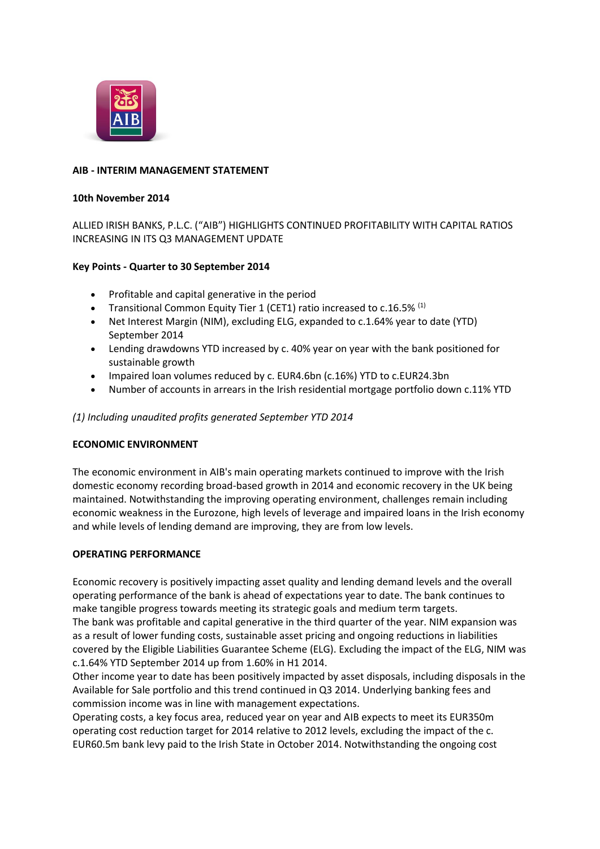

### **AIB - INTERIM MANAGEMENT STATEMENT**

### **10th November 2014**

ALLIED IRISH BANKS, P.L.C. ("AIB") HIGHLIGHTS CONTINUED PROFITABILITY WITH CAPITAL RATIOS INCREASING IN ITS Q3 MANAGEMENT UPDATE

## **Key Points - Quarter to 30 September 2014**

- Profitable and capital generative in the period
- Transitional Common Equity Tier 1 (CET1) ratio increased to c.16.5%  $(1)$
- Net Interest Margin (NIM), excluding ELG, expanded to c.1.64% year to date (YTD) September 2014
- Lending drawdowns YTD increased by c. 40% year on year with the bank positioned for sustainable growth
- Impaired loan volumes reduced by c. EUR4.6bn (c.16%) YTD to c.EUR24.3bn
- Number of accounts in arrears in the Irish residential mortgage portfolio down c.11% YTD

### *(1) Including unaudited profits generated September YTD 2014*

### **ECONOMIC ENVIRONMENT**

The economic environment in AIB's main operating markets continued to improve with the Irish domestic economy recording broad-based growth in 2014 and economic recovery in the UK being maintained. Notwithstanding the improving operating environment, challenges remain including economic weakness in the Eurozone, high levels of leverage and impaired loans in the Irish economy and while levels of lending demand are improving, they are from low levels.

### **OPERATING PERFORMANCE**

Economic recovery is positively impacting asset quality and lending demand levels and the overall operating performance of the bank is ahead of expectations year to date. The bank continues to make tangible progress towards meeting its strategic goals and medium term targets. The bank was profitable and capital generative in the third quarter of the year. NIM expansion was as a result of lower funding costs, sustainable asset pricing and ongoing reductions in liabilities covered by the Eligible Liabilities Guarantee Scheme (ELG). Excluding the impact of the ELG, NIM was c.1.64% YTD September 2014 up from 1.60% in H1 2014.

Other income year to date has been positively impacted by asset disposals, including disposals in the Available for Sale portfolio and this trend continued in Q3 2014. Underlying banking fees and commission income was in line with management expectations.

Operating costs, a key focus area, reduced year on year and AIB expects to meet its EUR350m operating cost reduction target for 2014 relative to 2012 levels, excluding the impact of the c. EUR60.5m bank levy paid to the Irish State in October 2014. Notwithstanding the ongoing cost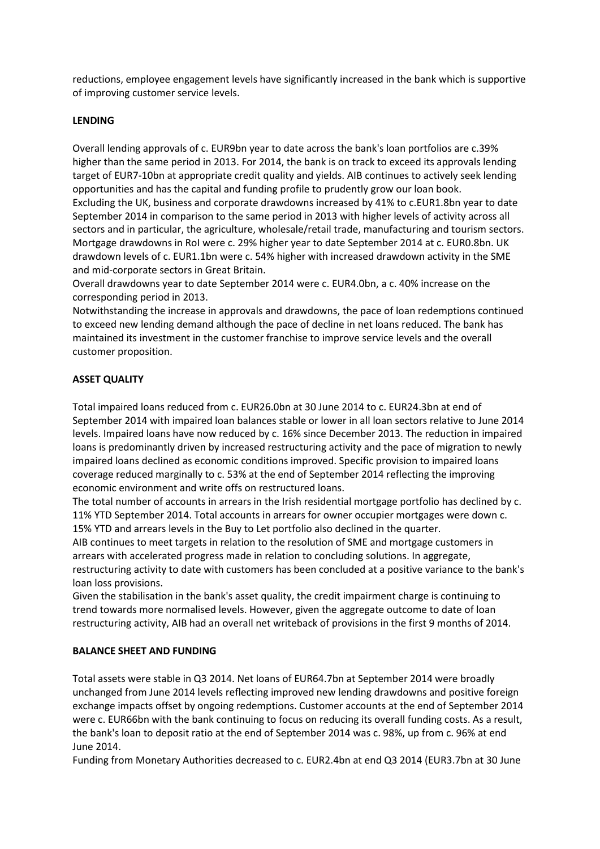reductions, employee engagement levels have significantly increased in the bank which is supportive of improving customer service levels.

### **LENDING**

Overall lending approvals of c. EUR9bn year to date across the bank's loan portfolios are c.39% higher than the same period in 2013. For 2014, the bank is on track to exceed its approvals lending target of EUR7-10bn at appropriate credit quality and yields. AIB continues to actively seek lending opportunities and has the capital and funding profile to prudently grow our loan book. Excluding the UK, business and corporate drawdowns increased by 41% to c.EUR1.8bn year to date September 2014 in comparison to the same period in 2013 with higher levels of activity across all sectors and in particular, the agriculture, wholesale/retail trade, manufacturing and tourism sectors. Mortgage drawdowns in RoI were c. 29% higher year to date September 2014 at c. EUR0.8bn. UK drawdown levels of c. EUR1.1bn were c. 54% higher with increased drawdown activity in the SME and mid-corporate sectors in Great Britain.

Overall drawdowns year to date September 2014 were c. EUR4.0bn, a c. 40% increase on the corresponding period in 2013.

Notwithstanding the increase in approvals and drawdowns, the pace of loan redemptions continued to exceed new lending demand although the pace of decline in net loans reduced. The bank has maintained its investment in the customer franchise to improve service levels and the overall customer proposition.

## **ASSET QUALITY**

Total impaired loans reduced from c. EUR26.0bn at 30 June 2014 to c. EUR24.3bn at end of September 2014 with impaired loan balances stable or lower in all loan sectors relative to June 2014 levels. Impaired loans have now reduced by c. 16% since December 2013. The reduction in impaired loans is predominantly driven by increased restructuring activity and the pace of migration to newly impaired loans declined as economic conditions improved. Specific provision to impaired loans coverage reduced marginally to c. 53% at the end of September 2014 reflecting the improving economic environment and write offs on restructured loans.

The total number of accounts in arrears in the Irish residential mortgage portfolio has declined by c. 11% YTD September 2014. Total accounts in arrears for owner occupier mortgages were down c. 15% YTD and arrears levels in the Buy to Let portfolio also declined in the quarter.

AIB continues to meet targets in relation to the resolution of SME and mortgage customers in arrears with accelerated progress made in relation to concluding solutions. In aggregate, restructuring activity to date with customers has been concluded at a positive variance to the bank's loan loss provisions.

Given the stabilisation in the bank's asset quality, the credit impairment charge is continuing to trend towards more normalised levels. However, given the aggregate outcome to date of loan restructuring activity, AIB had an overall net writeback of provisions in the first 9 months of 2014.

## **BALANCE SHEET AND FUNDING**

Total assets were stable in Q3 2014. Net loans of EUR64.7bn at September 2014 were broadly unchanged from June 2014 levels reflecting improved new lending drawdowns and positive foreign exchange impacts offset by ongoing redemptions. Customer accounts at the end of September 2014 were c. EUR66bn with the bank continuing to focus on reducing its overall funding costs. As a result, the bank's loan to deposit ratio at the end of September 2014 was c. 98%, up from c. 96% at end June 2014.

Funding from Monetary Authorities decreased to c. EUR2.4bn at end Q3 2014 (EUR3.7bn at 30 June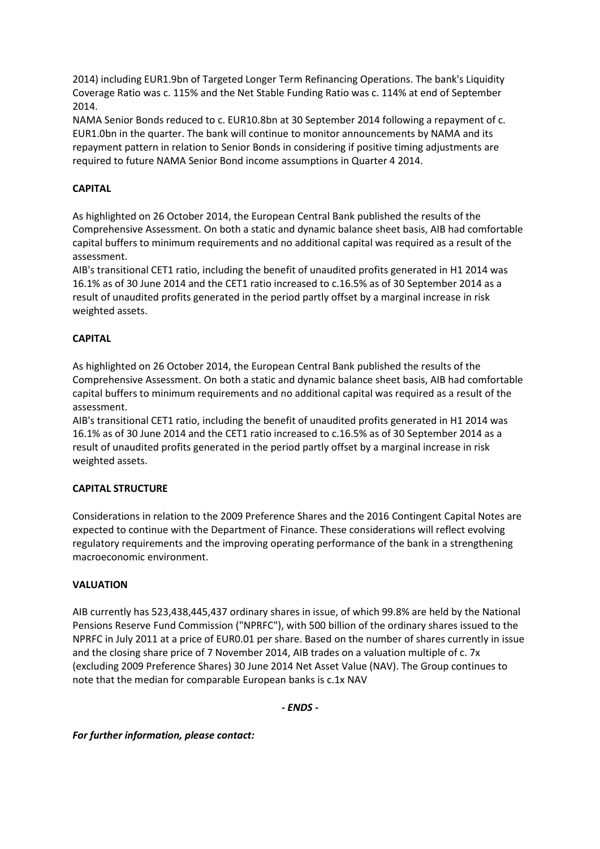2014) including EUR1.9bn of Targeted Longer Term Refinancing Operations. The bank's Liquidity Coverage Ratio was c. 115% and the Net Stable Funding Ratio was c. 114% at end of September 2014.

NAMA Senior Bonds reduced to c. EUR10.8bn at 30 September 2014 following a repayment of c. EUR1.0bn in the quarter. The bank will continue to monitor announcements by NAMA and its repayment pattern in relation to Senior Bonds in considering if positive timing adjustments are required to future NAMA Senior Bond income assumptions in Quarter 4 2014.

# **CAPITAL**

As highlighted on 26 October 2014, the European Central Bank published the results of the Comprehensive Assessment. On both a static and dynamic balance sheet basis, AIB had comfortable capital buffers to minimum requirements and no additional capital was required as a result of the assessment.

AIB's transitional CET1 ratio, including the benefit of unaudited profits generated in H1 2014 was 16.1% as of 30 June 2014 and the CET1 ratio increased to c.16.5% as of 30 September 2014 as a result of unaudited profits generated in the period partly offset by a marginal increase in risk weighted assets.

### **CAPITAL**

As highlighted on 26 October 2014, the European Central Bank published the results of the Comprehensive Assessment. On both a static and dynamic balance sheet basis, AIB had comfortable capital buffers to minimum requirements and no additional capital was required as a result of the assessment.

AIB's transitional CET1 ratio, including the benefit of unaudited profits generated in H1 2014 was 16.1% as of 30 June 2014 and the CET1 ratio increased to c.16.5% as of 30 September 2014 as a result of unaudited profits generated in the period partly offset by a marginal increase in risk weighted assets.

### **CAPITAL STRUCTURE**

Considerations in relation to the 2009 Preference Shares and the 2016 Contingent Capital Notes are expected to continue with the Department of Finance. These considerations will reflect evolving regulatory requirements and the improving operating performance of the bank in a strengthening macroeconomic environment.

### **VALUATION**

AIB currently has 523,438,445,437 ordinary shares in issue, of which 99.8% are held by the National Pensions Reserve Fund Commission ("NPRFC"), with 500 billion of the ordinary shares issued to the NPRFC in July 2011 at a price of EUR0.01 per share. Based on the number of shares currently in issue and the closing share price of 7 November 2014, AIB trades on a valuation multiple of c. 7x (excluding 2009 Preference Shares) 30 June 2014 Net Asset Value (NAV). The Group continues to note that the median for comparable European banks is c.1x NAV

*- ENDS -*

*For further information, please contact:*